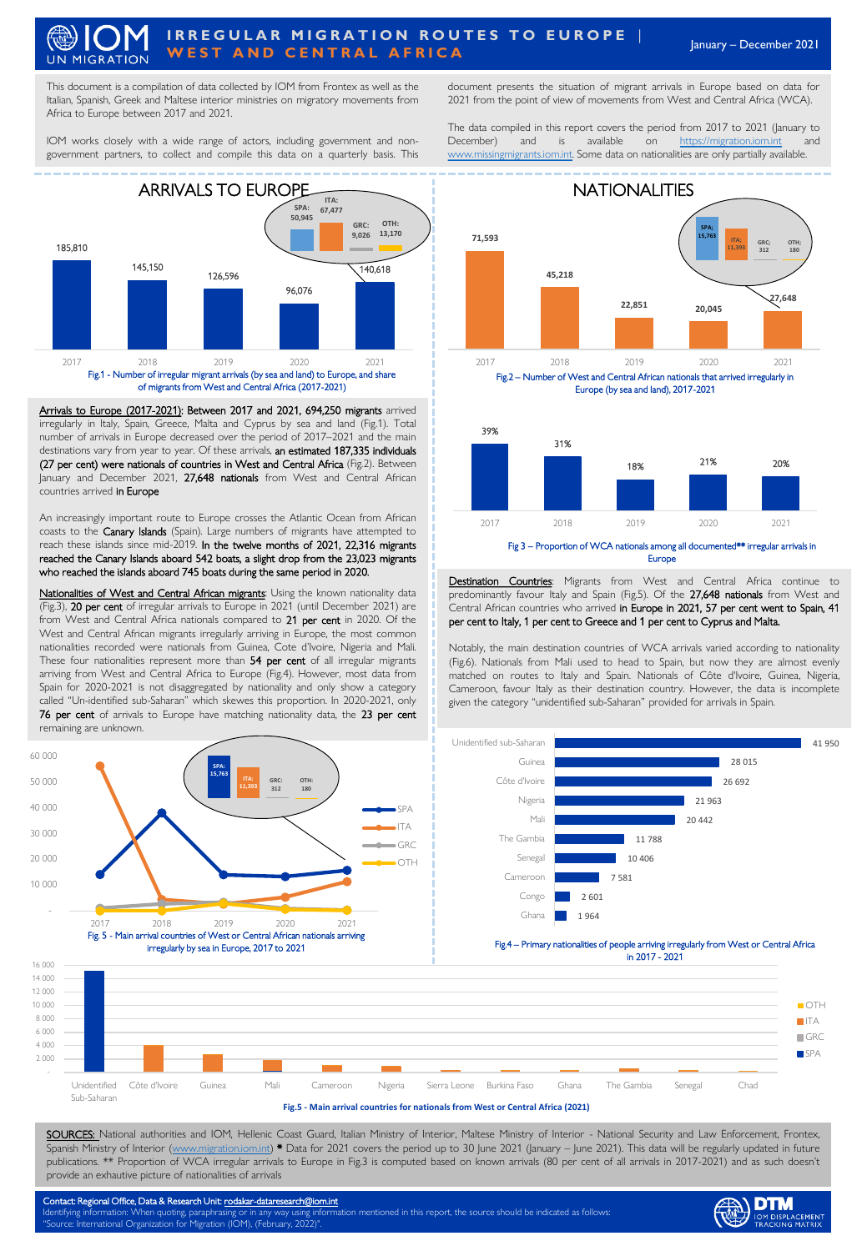## January – December <sup>2021</sup> **I R R E G U L A R M I G R A T I O N R O U T E S T O E U R O P E │ WEST AND CENTRAL AFRICA UN MIGRATION**

This document is a compilation of data collected by IOM from Frontex as well as the Italian, Spanish, Greek and Maltese interior ministries on migratory movements from Africa to Europe between 2017 and 2021.

IOM works closely with a wide range of actors, including government and nongovernment partners, to collect and compile this data on a quarterly basis. This



Fig.1 - Number of irregular migrant arrivals (by sea and land) to Europe, and share of migrants from West and Central Africa (2017-2021)

Arrivals to Europe (2017-2021): Between 2017 and 2021, 694,250 migrants arrived irregularly in Italy, Spain, Greece, Malta and Cyprus by sea and land (Fig.1). Total number of arrivals in Europe decreased over the period of 2017–2021 and the main destinations vary from year to year. Of these arrivals, an estimated 187,335 individuals (27 per cent) were nationals of countries in West and Central Africa (Fig.2). Between January and December 2021, 27,648 nationals from West and Central African countries arrived in Europe

An increasingly important route to Europe crosses the Atlantic Ocean from African coasts to the Canary Islands (Spain). Large numbers of migrants have attempted to reach these islands since mid-2019. In the twelve months of 2021, 22,316 migrants reached the Canary Islands aboard 542 boats, a slight drop from the 23,023 migrants who reached the islands aboard 745 boats during the same period in 2020.

Nationalities of West and Central African migrants: Using the known nationality data (Fig.3), 20 per cent of irregular arrivals to Europe in 2021 (until December 2021) are from West and Central Africa nationals compared to 21 per cent in 2020. Of the West and Central African migrants irregularly arriving in Europe, the most common nationalities recorded were nationals from Guinea, Cote d'Ivoire, Nigeria and Mali. These four nationalities represent more than 54 per cent of all irregular migrants arriving from West and Central Africa to Europe (Fig.4). However, most data from Spain for 2020-2021 is not disaggregated by nationality and only show a category called "Un-identified sub-Saharan" which skewes this proportion. In 2020-2021, only 76 per cent of arrivals to Europe have matching nationality data, the 23 per cent remaining are unknown.



document presents the situation of migrant arrivals in Europe based on data for 2021 from the point of view of movements from West and Central Africa (WCA).

The data compiled in this report covers the period from 2017 to 2021 (January to December) and is available on [https://migration.iom.int](https://migration.iom.int/) [www.missingmigrants.iom.int.](http://www.missingmigrants.iom.int/) Some data on nationalities are only partially available.







Destination Countries: Migrants from West and Central Africa continue to predominantly favour Italy and Spain (Fig.5). Of the 27,648 nationals from West and Central African countries who arrived in Europe in 2021, 57 per cent went to Spain, 41 per cent to Italy, 1 per cent to Greece and 1 per cent to Cyprus and Malta.

Notably, the main destination countries of WCA arrivals varied according to nationality (Fig.6). Nationals from Mali used to head to Spain, but now they are almost evenly matched on routes to Italy and Spain. Nationals of Côte d'Ivoire, Guinea, Nigeria, Cameroon, favour Italy as their destination country. However, the data is incomplete given the category "unidentified sub-Saharan" provided for arrivals in Spain.



**DTM** 



## **Fig.5 - Main arrival countries for nationals from West or Central Africa (2021)**

SOURCES: National authorities and IOM, Hellenic Coast Guard, Italian Ministry of Interior, Maltese Ministry of Interior - National Security and Law Enforcement, Frontex, Spanish Ministry of Interior [\(www.migration.iom.int](http://www.migration.iom.int/)) \* Data for 2021 covers the period up to 30 June 2021 (January – June 2021). This data will be regularly updated in future publications. \*\* Proportion of WCA irregular arrivals to Europe in Fig.3 is computed based on known arrivals (80 per cent of all arrivals in 2017-2021) and as such doesn't provide an exhautive picture of nationalities of arrivals